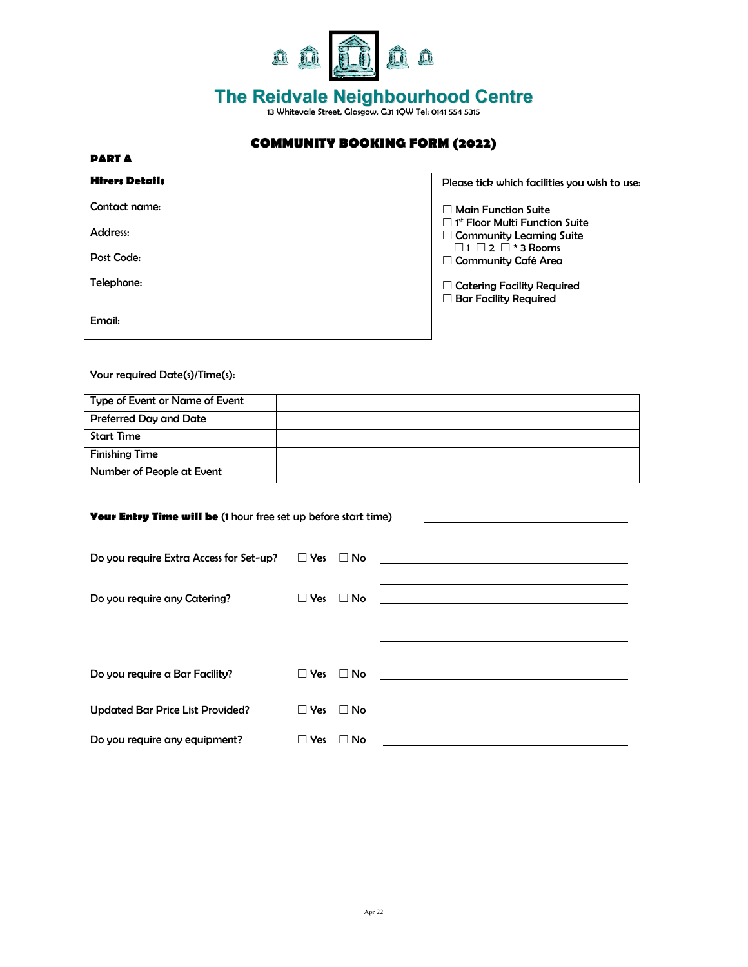

## **The Reidvale Neighbourhood Centre** 13 Whitevale Street, Glasgow, G31 1QW Tel: 0141 554 5315

## **COMMUNITY BOOKING FORM (2022)**

| $\sim$ |  |  |  |  |  |
|--------|--|--|--|--|--|
|--------|--|--|--|--|--|

| <b>Hirers Details</b> | Please tick which facilities you wish to use:                                        |
|-----------------------|--------------------------------------------------------------------------------------|
| Contact name:         | $\Box$ Main Function Suite                                                           |
| Address:              | $\Box$ 1 <sup>st</sup> Floor Multi Function Suite<br>$\Box$ Community Learning Suite |
| Post Code:            | $\Box$ 1 $\Box$ 2 $\Box$ * 3 Rooms<br>$\Box$ Community Café Area                     |
| Telephone:            | $\Box$ Catering Facility Required<br>$\Box$ Bar Facility Required                    |
| Email:                |                                                                                      |

Your required Date(s)/Time(s):

| Type of Event or Name of Event |  |
|--------------------------------|--|
| Preferred Day and Date         |  |
| Start Time                     |  |
| <b>Finishing Time</b>          |  |
| Number of People at Event      |  |

| <b>Your Entry Time will be</b> (1 hour free set up before start time) |                      |                                                                                                                       |  |
|-----------------------------------------------------------------------|----------------------|-----------------------------------------------------------------------------------------------------------------------|--|
| Do you require Extra Access for Set-up? $\Box$ Yes $\Box$ No          |                      | <u> 1989 - Johann Stein, mars and de Branch and de Branch and de Branch and de Branch and de Branch and de Branch</u> |  |
| Do you require any Catering?                                          | $\Box$ Yes $\Box$ No |                                                                                                                       |  |
|                                                                       |                      |                                                                                                                       |  |
| Do you require a Bar Facility?                                        | $\Box$ Yes $\Box$ No |                                                                                                                       |  |
| <b>Updated Bar Price List Provided?</b>                               | $\Box$ Yes           | $\Box$ No                                                                                                             |  |
| Do you require any equipment?                                         | $\Box$ Yes           | $\Box$ No                                                                                                             |  |